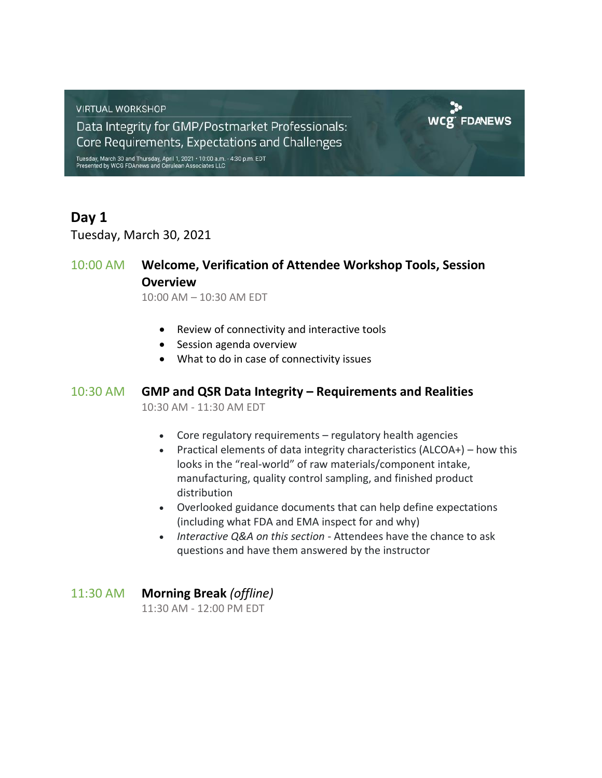**VIRTUAL WORKSHOP** 

Data Integrity for GMP/Postmarket Professionals: Core Requirements, Expectations and Challenges

Tuesday, March 30 and Thursday, April 1, 2021 • 10:00 a.m. - 4:30 p.m. EDT<br>Presented by WCG FDAnews and Cerulean Associates LLC

## **Day 1**

Tuesday, March 30, 2021

## 10:00 AM **Welcome, Verification of Attendee Workshop Tools, Session Overview**

10:00 AM – 10:30 AM EDT

- Review of connectivity and interactive tools
- Session agenda overview
- What to do in case of connectivity issues

#### 10:30 AM **GMP and QSR Data Integrity – Requirements and Realities**

10:30 AM - 11:30 AM EDT

- Core regulatory requirements regulatory health agencies
- Practical elements of data integrity characteristics (ALCOA+) how this looks in the "real-world" of raw materials/component intake, manufacturing, quality control sampling, and finished product distribution

**WCE FDANEWS** 

- Overlooked guidance documents that can help define expectations (including what FDA and EMA inspect for and why)
- *Interactive Q&A on this section* Attendees have the chance to ask questions and have them answered by the instructor
- 11:30 AM **Morning Break** *(offline)* 11:30 AM - 12:00 PM EDT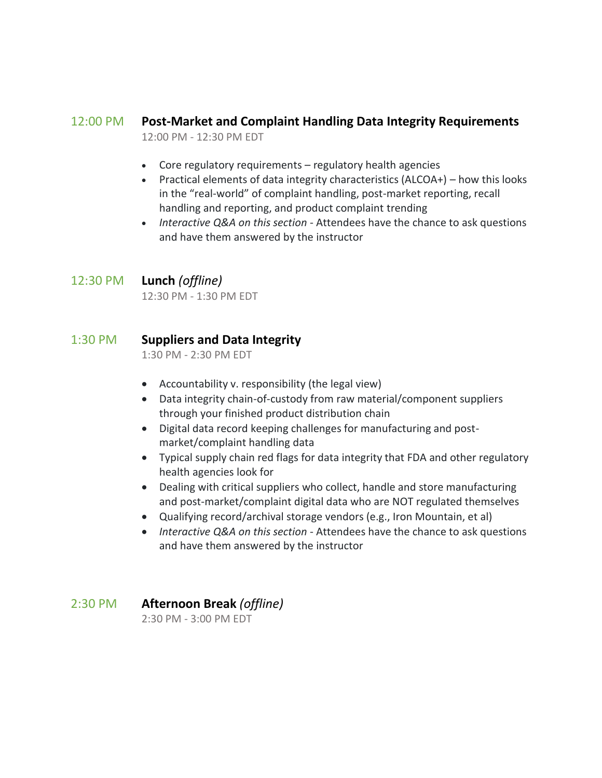## 12:00 PM **Post-Market and Complaint Handling Data Integrity Requirements**

12:00 PM - 12:30 PM EDT

- Core regulatory requirements regulatory health agencies
- Practical elements of data integrity characteristics (ALCOA+) how this looks in the "real-world" of complaint handling, post-market reporting, recall handling and reporting, and product complaint trending
- *Interactive Q&A on this section* Attendees have the chance to ask questions and have them answered by the instructor

### 12:30 PM **Lunch** *(offline)*

12:30 PM - 1:30 PM EDT

## 1:30 PM **Suppliers and Data Integrity**

1:30 PM - 2:30 PM EDT

- Accountability v. responsibility (the legal view)
- Data integrity chain-of-custody from raw material/component suppliers through your finished product distribution chain
- Digital data record keeping challenges for manufacturing and postmarket/complaint handling data
- Typical supply chain red flags for data integrity that FDA and other regulatory health agencies look for
- Dealing with critical suppliers who collect, handle and store manufacturing and post-market/complaint digital data who are NOT regulated themselves
- Qualifying record/archival storage vendors (e.g., Iron Mountain, et al)
- *Interactive Q&A on this section* Attendees have the chance to ask questions and have them answered by the instructor
- 2:30 PM **Afternoon Break** *(offline)*

2:30 PM - 3:00 PM EDT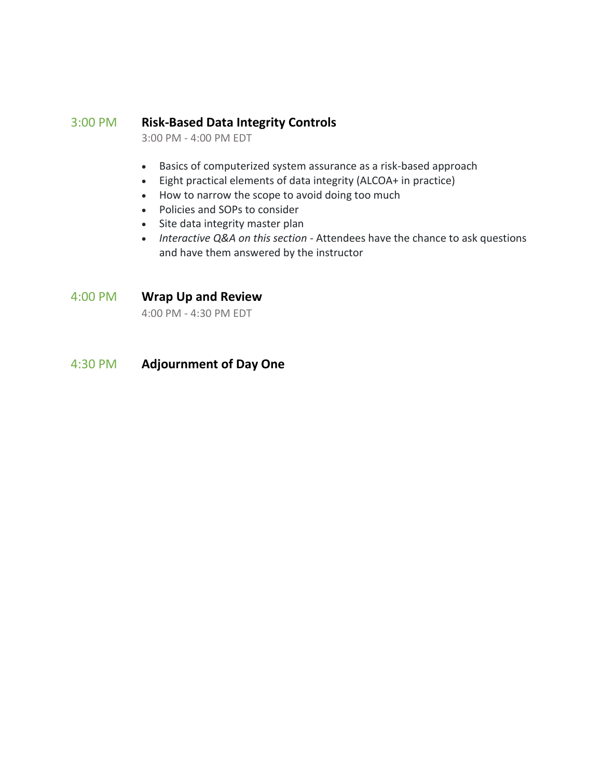#### 3:00 PM **Risk-Based Data Integrity Controls**

3:00 PM - 4:00 PM EDT

- Basics of computerized system assurance as a risk-based approach
- Eight practical elements of data integrity (ALCOA+ in practice)
- How to narrow the scope to avoid doing too much
- Policies and SOPs to consider
- Site data integrity master plan
- *Interactive Q&A on this section* Attendees have the chance to ask questions and have them answered by the instructor

#### 4:00 PM **Wrap Up and Review**

4:00 PM - 4:30 PM EDT

## 4:30 PM **Adjournment of Day One**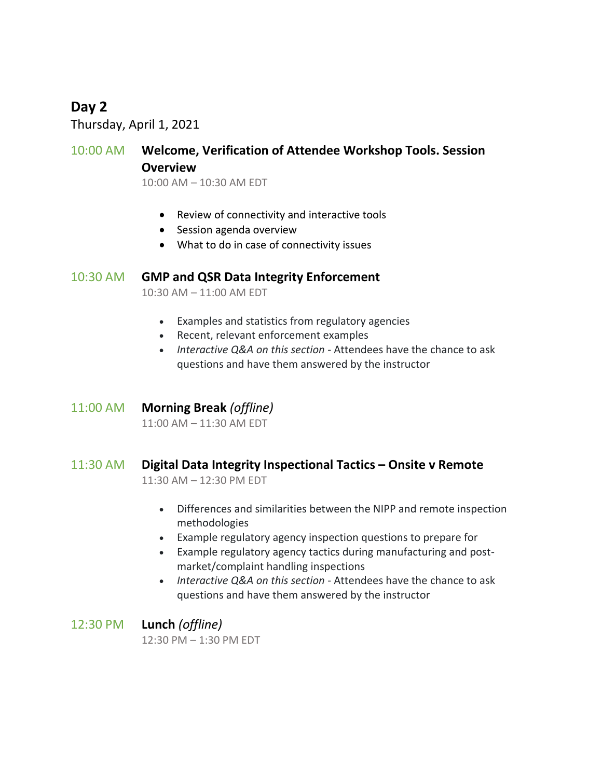## **Day 2**

Thursday, April 1, 2021

## 10:00 AM **Welcome, Verification of Attendee Workshop Tools. Session Overview**

10:00 AM – 10:30 AM EDT

- Review of connectivity and interactive tools
- Session agenda overview
- What to do in case of connectivity issues

#### 10:30 AM **GMP and QSR Data Integrity Enforcement**

10:30 AM – 11:00 AM EDT

- Examples and statistics from regulatory agencies
- Recent, relevant enforcement examples
- *Interactive Q&A on this section* Attendees have the chance to ask questions and have them answered by the instructor

#### 11:00 AM **Morning Break** *(offline)*

11:00 AM – 11:30 AM EDT

### 11:30 AM **Digital Data Integrity Inspectional Tactics – Onsite v Remote** 11:30 AM – 12:30 PM EDT

- Differences and similarities between the NIPP and remote inspection methodologies
- Example regulatory agency inspection questions to prepare for
- Example regulatory agency tactics during manufacturing and postmarket/complaint handling inspections
- *Interactive Q&A on this section* Attendees have the chance to ask questions and have them answered by the instructor

12:30 PM **Lunch** *(offline)* 12:30 PM – 1:30 PM EDT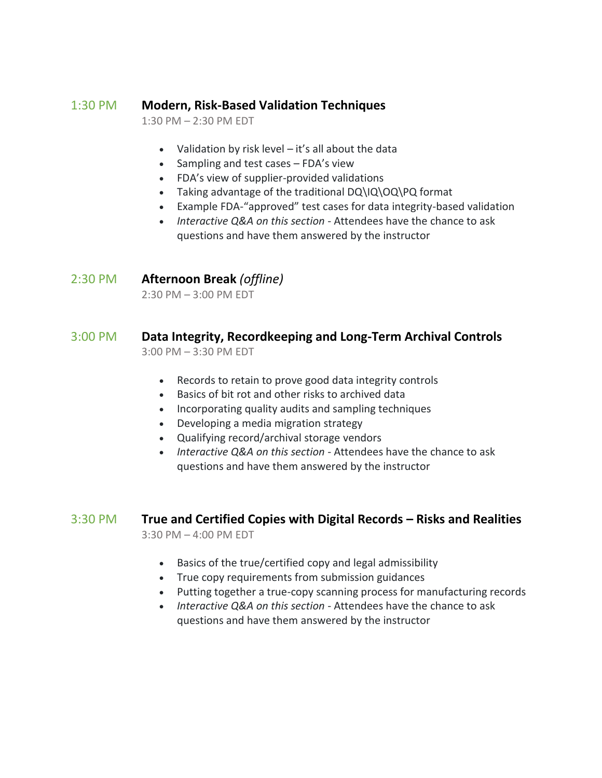## 1:30 PM **Modern, Risk-Based Validation Techniques**

1:30 PM – 2:30 PM EDT

- Validation by risk level it's all about the data
- Sampling and test cases FDA's view
- FDA's view of supplier-provided validations
- Taking advantage of the traditional DQ\IQ\OQ\PQ format
- Example FDA-"approved" test cases for data integrity-based validation
- *Interactive Q&A on this section* Attendees have the chance to ask questions and have them answered by the instructor

### 2:30 PM **Afternoon Break** *(offline)*

2:30 PM – 3:00 PM EDT

#### 3:00 PM **Data Integrity, Recordkeeping and Long-Term Archival Controls** 3:00 PM – 3:30 PM EDT

- Records to retain to prove good data integrity controls
- Basics of bit rot and other risks to archived data
- Incorporating quality audits and sampling techniques
- Developing a media migration strategy
- Qualifying record/archival storage vendors
- *Interactive Q&A on this section* Attendees have the chance to ask questions and have them answered by the instructor

# 3:30 PM **True and Certified Copies with Digital Records – Risks and Realities**

3:30 PM – 4:00 PM EDT

- Basics of the true/certified copy and legal admissibility
- True copy requirements from submission guidances
- Putting together a true-copy scanning process for manufacturing records
- *Interactive Q&A on this section* Attendees have the chance to ask questions and have them answered by the instructor